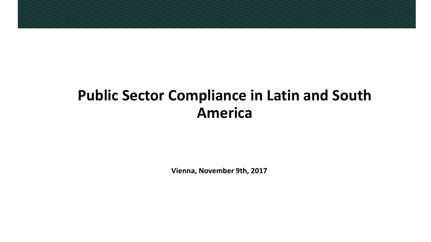# **Public Sector Compliance in Latin and South America**

**Vienna, November 9th, 2017**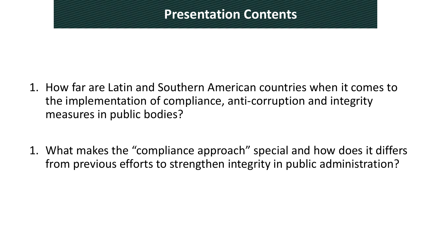## **Presentation Contents**

- 1. How far are Latin and Southern American countries when it comes to the implementation of compliance, anti-corruption and integrity measures in public bodies?
- 1. What makes the "compliance approach" special and how does it differs from previous efforts to strengthen integrity in public administration?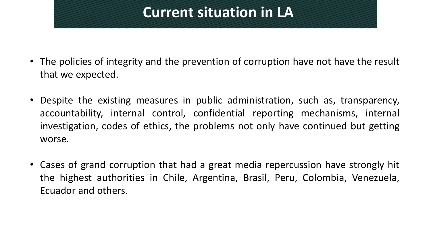# **Current situation in LA**

- The policies of integrity and the prevention of corruption have not have the result that we expected.
- Despite the existing measures in public administration, such as, transparency, accountability, internal control, confidential reporting mechanisms, internal investigation, codes of ethics, the problems not only have continued but getting worse.
- Cases of grand corruption that had a great media repercussion have strongly hit the highest authorities in Chile, Argentina, Brasil, Peru, Colombia, Venezuela, Ecuador and others.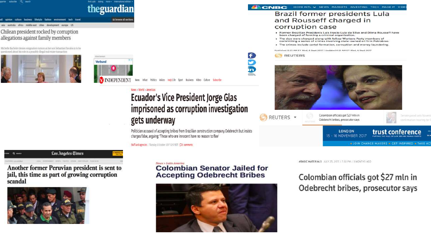### India jobs dating mere + Intensational edition. theguardian

browse all section

|  | opinion culture business lifestyle fashion environment tech travel |  |  |  |  |
|--|--------------------------------------------------------------------|--|--|--|--|
|  | australia africa middle-east cities development europe US          |  |  |  |  |

#### Chilean president rocked by corruption allegations against family members

Michelle Bachelet denies resignation numers as her son Sebastian Davalos is to be peritioned about his role in a possibly illegal real estate transaction







### News > World > America **Ecuador's Vice President Jorge Glas** imprisoned as corruption investigation gets underway

Politician accused of accepting bribes from Brazilian construction company Odebrecht but insists charges false, arguing: 'Those who are innocent have no reason to flee'

Staff and agencies | Tuesday 3 October 2017 12:57 BST | CDD comments



Another former Peruvian president is sent to jail, this time as part of growing corruption scandal



#### News > Latin America **Colombian Senator Jailed for Accepting Odebrecht Bribes**



#### HOME INTL W NEWS MARKETS INVESTING TECH MAKE IT VIDEO **SECNBC**

### **Brazil former presidents Lula** and Rousseff charged in corruption case

- . Former Brazilian Presidents Luis Inacio Luia da Silva and Dilma Rousseff have been charged of forming a criminal organization
- . The duo were charged along with fellow Workers Party members of committing a series of crimes involving state-owned oil firm Petrobras.
- . The crimes include cartel formation, corruption and money laundering.

Published 6:23 AM ET Wed, 6 Sept 2017 | Updated 6:51 AM ET Wed, 6 Sept 2017

**REUTERS** 

f.

'n



#BASIC MATERIALS JULY 25, 2017 / 7:30 PM / 3 MONTHS AGO

### Colombian officials got \$27 mln in Odebrecht bribes, prosecutor says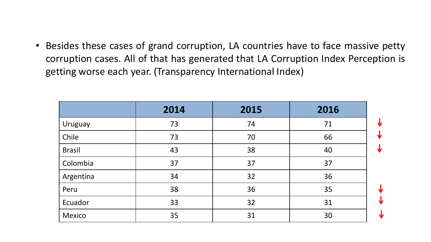• Besides these cases of grand corruption, LA countries have to face massive petty corruption cases. All of that has generated that LA Corruption Index Perception is getting worse each year. (Transparency International Index)

|               | 2014 | 2015 | 2016 |   |
|---------------|------|------|------|---|
| Uruguay       | 73   | 74   | 71   |   |
| Chile         | 73   | 70   | 66   | J |
| <b>Brasil</b> | 43   | 38   | 40   | N |
| Colombia      | 37   | 37   | 37   |   |
| Argentina     | 34   | 32   | 36   |   |
| Peru          | 38   | 36   | 35   |   |
| Ecuador       | 33   | 32   | 31   |   |
| <b>Mexico</b> | 35   | 31   | 30   |   |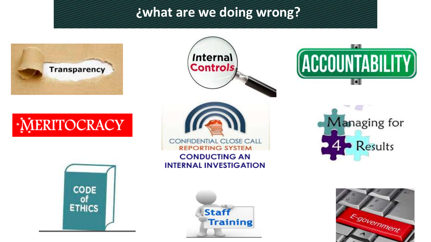## **¿what are we doing wrong?**















Managing for Results

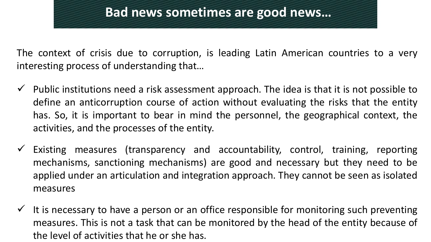### **Bad news sometimes are good news…**

The context of crisis due to corruption, is leading Latin American countries to a very interesting process of understanding that…

- $\checkmark$  Public institutions need a risk assessment approach. The idea is that it is not possible to define an anticorruption course of action without evaluating the risks that the entity has. So, it is important to bear in mind the personnel, the geographical context, the activities, and the processes of the entity.
- Existing measures (transparency and accountability, control, training, reporting mechanisms, sanctioning mechanisms) are good and necessary but they need to be applied under an articulation and integration approach. They cannot be seen as isolated measures
- $\checkmark$  It is necessary to have a person or an office responsible for monitoring such preventing measures. This is not a task that can be monitored by the head of the entity because of the level of activities that he or she has.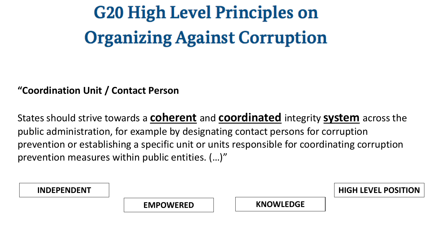**G20 High Level Principles on Organizing Against Corruption** 

### **"Coordination Unit / Contact Person**

States should strive towards a **coherent** and **coordinated** integrity **system** across the public administration, for example by designating contact persons for corruption prevention or establishing a specific unit or units responsible for coordinating corruption prevention measures within public entities. (…)"

| <b>INDEPENDENT</b> |                  |                  | <b>HIGH LEVEL POSITION</b> |
|--------------------|------------------|------------------|----------------------------|
|                    | <b>EMPOWERED</b> | <b>KNOWLEDGE</b> |                            |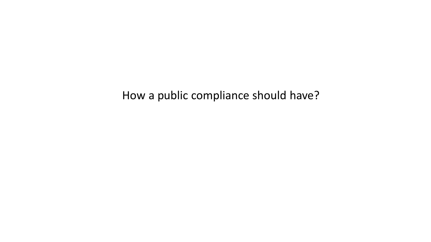How a public compliance should have?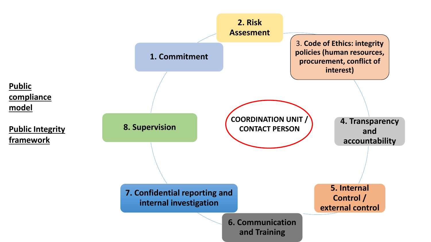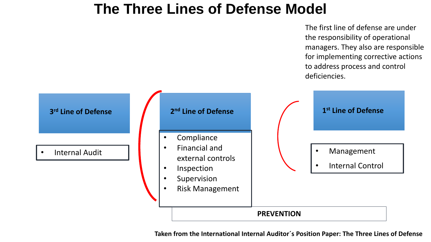# **The Three Lines of Defense Model**

The first line of defense are under the responsibility of operational managers. They also are responsible for implementing corrective actions to address process and control deficiencies.



**Taken from the International Internal Auditor´s Position Paper: The Three Lines of Defense**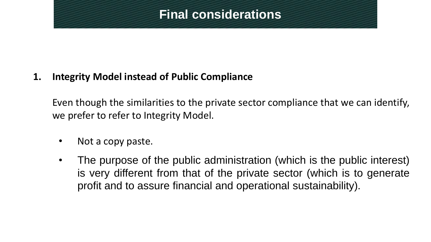### **Final considerations**

**1. Integrity Model instead of Public Compliance**

Even though the similarities to the private sector compliance that we can identify, we prefer to refer to Integrity Model.

- Not a copy paste.
- The purpose of the public administration (which is the public interest) is very different from that of the private sector (which is to generate profit and to assure financial and operational sustainability).